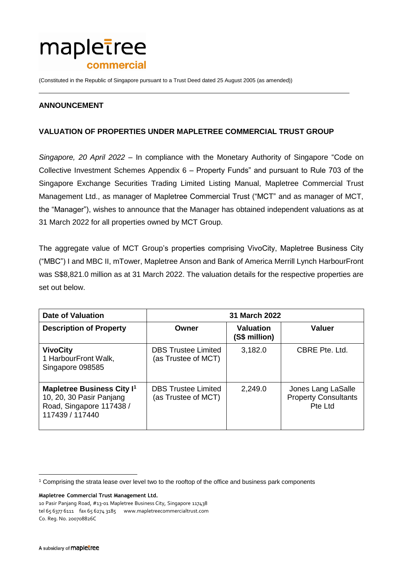

(Constituted in the Republic of Singapore pursuant to a Trust Deed dated 25 August 2005 (as amended))

## **ANNOUNCEMENT**

## **VALUATION OF PROPERTIES UNDER MAPLETREE COMMERCIAL TRUST GROUP**

*Singapore, 20 April 2022* – In compliance with the Monetary Authority of Singapore "Code on Collective Investment Schemes Appendix 6 – Property Funds" and pursuant to Rule 703 of the Singapore Exchange Securities Trading Limited Listing Manual, Mapletree Commercial Trust Management Ltd., as manager of Mapletree Commercial Trust ("MCT" and as manager of MCT, the "Manager"), wishes to announce that the Manager has obtained independent valuations as at 31 March 2022 for all properties owned by MCT Group.

The aggregate value of MCT Group's properties comprising VivoCity, Mapletree Business City ("MBC") I and MBC II, mTower, Mapletree Anson and Bank of America Merrill Lynch HarbourFront was S\$8,821.0 million as at 31 March 2022. The valuation details for the respective properties are set out below.

| <b>Date of Valuation</b>                                                                                                | <b>31 March 2022</b>                              |                                   |                                                              |
|-------------------------------------------------------------------------------------------------------------------------|---------------------------------------------------|-----------------------------------|--------------------------------------------------------------|
| <b>Description of Property</b>                                                                                          | Owner                                             | <b>Valuation</b><br>(S\$ million) | <b>Valuer</b>                                                |
| <b>VivoCity</b><br>1 HarbourFront Walk,<br>Singapore 098585                                                             | <b>DBS Trustee Limited</b><br>(as Trustee of MCT) | 3,182.0                           | CBRE Pte. Ltd.                                               |
| <b>Mapletree Business City I<sup>1</sup></b><br>10, 20, 30 Pasir Panjang<br>Road, Singapore 117438 /<br>117439 / 117440 | <b>DBS Trustee Limited</b><br>(as Trustee of MCT) | 2,249.0                           | Jones Lang LaSalle<br><b>Property Consultants</b><br>Pte Ltd |

**Mapletree Commercial Trust Management Ltd.**

 $\overline{a}$ 

<sup>1</sup> Comprising the strata lease over level two to the rooftop of the office and business park components

<sup>10</sup> Pasir Panjang Road, #13-01 Mapletree Business City, Singapore 117438 tel 65 6377 6111 fax 65 6274 3185 [www.mapletreecommercialtrust.com](http://www.mapletree.com.sg/) Co. Reg. No. 200708826C